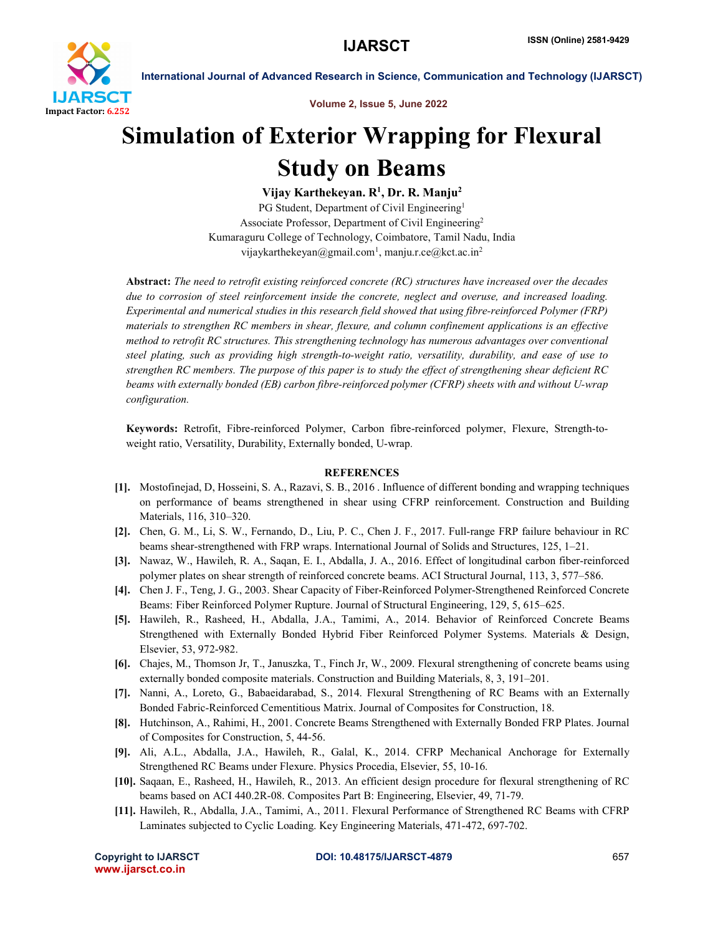

International Journal of Advanced Research in Science, Communication and Technology (IJARSCT)

Volume 2, Issue 5, June 2022

# Simulation of Exterior Wrapping for Flexural Study on Beams

Vijay Karthekeyan. R<sup>1</sup>, Dr. R. Manju<sup>2</sup>

PG Student, Department of Civil Engineering<sup>1</sup> Associate Professor, Department of Civil Engineering2 Kumaraguru College of Technology, Coimbatore, Tamil Nadu, India vijaykarthekeyan@gmail.com<sup>1</sup>, manju.r.ce@kct.ac.in<sup>2</sup>

Abstract: *The need to retrofit existing reinforced concrete (RC) structures have increased over the decades due to corrosion of steel reinforcement inside the concrete, neglect and overuse, and increased loading. Experimental and numerical studies in this research field showed that using fibre-reinforced Polymer (FRP) materials to strengthen RC members in shear, flexure, and column confinement applications is an effective method to retrofit RC structures. This strengthening technology has numerous advantages over conventional steel plating, such as providing high strength-to-weight ratio, versatility, durability, and ease of use to strengthen RC members. The purpose of this paper is to study the effect of strengthening shear deficient RC beams with externally bonded (EB) carbon fibre-reinforced polymer (CFRP) sheets with and without U-wrap configuration.*

Keywords: Retrofit, Fibre-reinforced Polymer, Carbon fibre-reinforced polymer, Flexure, Strength-toweight ratio, Versatility, Durability, Externally bonded, U-wrap.

# **REFERENCES**

- [1]. Mostofinejad, D, Hosseini, S. A., Razavi, S. B., 2016 . Influence of different bonding and wrapping techniques on performance of beams strengthened in shear using CFRP reinforcement. Construction and Building Materials, 116, 310–320.
- [2]. Chen, G. M., Li, S. W., Fernando, D., Liu, P. C., Chen J. F., 2017. Full-range FRP failure behaviour in RC beams shear-strengthened with FRP wraps. International Journal of Solids and Structures, 125, 1–21.
- [3]. Nawaz, W., Hawileh, R. A., Saqan, E. I., Abdalla, J. A., 2016. Effect of longitudinal carbon fiber-reinforced polymer plates on shear strength of reinforced concrete beams. ACI Structural Journal, 113, 3, 577–586.
- [4]. Chen J. F., Teng, J. G., 2003. Shear Capacity of Fiber-Reinforced Polymer-Strengthened Reinforced Concrete Beams: Fiber Reinforced Polymer Rupture. Journal of Structural Engineering, 129, 5, 615–625.
- [5]. Hawileh, R., Rasheed, H., Abdalla, J.A., Tamimi, A., 2014. Behavior of Reinforced Concrete Beams Strengthened with Externally Bonded Hybrid Fiber Reinforced Polymer Systems. Materials & Design, Elsevier, 53, 972-982.
- [6]. Chajes, M., Thomson Jr, T., Januszka, T., Finch Jr, W., 2009. Flexural strengthening of concrete beams using externally bonded composite materials. Construction and Building Materials, 8, 3, 191–201.
- [7]. Nanni, A., Loreto, G., Babaeidarabad, S., 2014. Flexural Strengthening of RC Beams with an Externally Bonded Fabric-Reinforced Cementitious Matrix. Journal of Composites for Construction, 18.
- [8]. Hutchinson, A., Rahimi, H., 2001. Concrete Beams Strengthened with Externally Bonded FRP Plates. Journal of Composites for Construction, 5, 44-56.
- [9]. Ali, A.L., Abdalla, J.A., Hawileh, R., Galal, K., 2014. CFRP Mechanical Anchorage for Externally Strengthened RC Beams under Flexure. Physics Procedia, Elsevier, 55, 10-16.
- [10]. Saqaan, E., Rasheed, H., Hawileh, R., 2013. An efficient design procedure for flexural strengthening of RC beams based on ACI 440.2R-08. Composites Part B: Engineering, Elsevier, 49, 71-79.
- [11]. Hawileh, R., Abdalla, J.A., Tamimi, A., 2011. Flexural Performance of Strengthened RC Beams with CFRP Laminates subjected to Cyclic Loading. Key Engineering Materials, 471-472, 697-702.